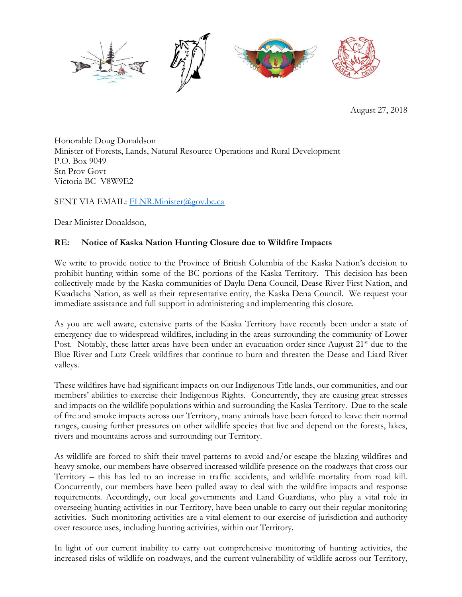

August 27, 2018

Honorable Doug Donaldson Minister of Forests, Lands, Natural Resource Operations and Rural Development P.O. Box 9049 Stn Prov Govt Victoria BC V8W9E2

SENT VIA EMAIL: [FLNR.Minister@gov.bc.ca](mailto:FLNR.Minister@gov.bc.ca)

Dear Minister Donaldson,

## **RE: Notice of Kaska Nation Hunting Closure due to Wildfire Impacts**

We write to provide notice to the Province of British Columbia of the Kaska Nation's decision to prohibit hunting within some of the BC portions of the Kaska Territory. This decision has been collectively made by the Kaska communities of Daylu Dena Council, Dease River First Nation, and Kwadacha Nation, as well as their representative entity, the Kaska Dena Council. We request your immediate assistance and full support in administering and implementing this closure.

As you are well aware, extensive parts of the Kaska Territory have recently been under a state of emergency due to widespread wildfires, including in the areas surrounding the community of Lower Post. Notably, these latter areas have been under an evacuation order since August 21<sup>st</sup> due to the Blue River and Lutz Creek wildfires that continue to burn and threaten the Dease and Liard River valleys.

These wildfires have had significant impacts on our Indigenous Title lands, our communities, and our members' abilities to exercise their Indigenous Rights. Concurrently, they are causing great stresses and impacts on the wildlife populations within and surrounding the Kaska Territory. Due to the scale of fire and smoke impacts across our Territory, many animals have been forced to leave their normal ranges, causing further pressures on other wildlife species that live and depend on the forests, lakes, rivers and mountains across and surrounding our Territory.

As wildlife are forced to shift their travel patterns to avoid and/or escape the blazing wildfires and heavy smoke, our members have observed increased wildlife presence on the roadways that cross our Territory – this has led to an increase in traffic accidents, and wildlife mortality from road kill. Concurrently, our members have been pulled away to deal with the wildfire impacts and response requirements. Accordingly, our local governments and Land Guardians, who play a vital role in overseeing hunting activities in our Territory, have been unable to carry out their regular monitoring activities. Such monitoring activities are a vital element to our exercise of jurisdiction and authority over resource uses, including hunting activities, within our Territory.

In light of our current inability to carry out comprehensive monitoring of hunting activities, the increased risks of wildlife on roadways, and the current vulnerability of wildlife across our Territory,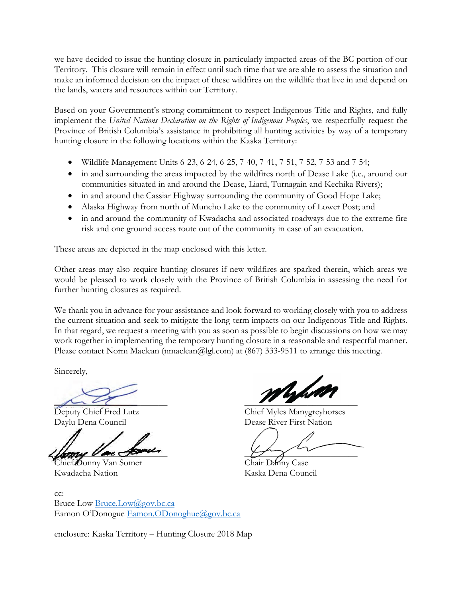we have decided to issue the hunting closure in particularly impacted areas of the BC portion of our Territory. This closure will remain in effect until such time that we are able to assess the situation and make an informed decision on the impact of these wildfires on the wildlife that live in and depend on the lands, waters and resources within our Territory.

Based on your Government's strong commitment to respect Indigenous Title and Rights, and fully implement the *United Nations Declaration on the Rights of Indigenous Peoples*, we respectfully request the Province of British Columbia's assistance in prohibiting all hunting activities by way of a temporary hunting closure in the following locations within the Kaska Territory:

- Wildlife Management Units 6-23, 6-24, 6-25, 7-40, 7-41, 7-51, 7-52, 7-53 and 7-54;
- in and surrounding the areas impacted by the wildfires north of Dease Lake (i.e., around our communities situated in and around the Dease, Liard, Turnagain and Kechika Rivers);
- in and around the Cassiar Highway surrounding the community of Good Hope Lake;
- Alaska Highway from north of Muncho Lake to the community of Lower Post; and
- in and around the community of Kwadacha and associated roadways due to the extreme fire risk and one ground access route out of the community in case of an evacuation.

These areas are depicted in the map enclosed with this letter.

Other areas may also require hunting closures if new wildfires are sparked therein, which areas we would be pleased to work closely with the Province of British Columbia in assessing the need for further hunting closures as required.

We thank you in advance for your assistance and look forward to working closely with you to address the current situation and seek to mitigate the long-term impacts on our Indigenous Title and Rights. In that regard, we request a meeting with you as soon as possible to begin discussions on how we may work together in implementing the temporary hunting closure in a reasonable and respectful manner. Please contact Norm Maclean (nmaclean@lgl.com) at (867) 333-9511 to arrange this meeting.

Sincerely,

 $\mu\bar{\nu}$ 

Chief Donny Van Somer Chair Danny Case Kwadacha Nation Kaska Dena Council

Ushd

Deputy Chief Fred Lutz Chief Myles Manygreyhorses Daylu Dena Council Dease River First Nation

 $\lim_{n\to\infty}$   $\lim_{n\to\infty}$   $\lim_{n\to\infty}$   $\lim_{n\to\infty}$   $\lim_{n\to\infty}$   $\lim_{n\to\infty}$   $\lim_{n\to\infty}$   $\lim_{n\to\infty}$   $\lim_{n\to\infty}$   $\lim_{n\to\infty}$   $\lim_{n\to\infty}$   $\lim_{n\to\infty}$   $\lim_{n\to\infty}$   $\lim_{n\to\infty}$   $\lim_{n\to\infty}$   $\lim_{n\to\infty}$   $\lim_{n\to\infty}$ 

cc: Bruce Low [Bruce.Low@gov.bc.ca](mailto:Bruce.Low@gov.bc.ca) Eamon O'Donogue [Eamon.ODonoghue@gov.bc.ca](mailto:Eamon.ODonoghue@gov.bc.ca)

enclosure: Kaska Territory – Hunting Closure 2018 Map